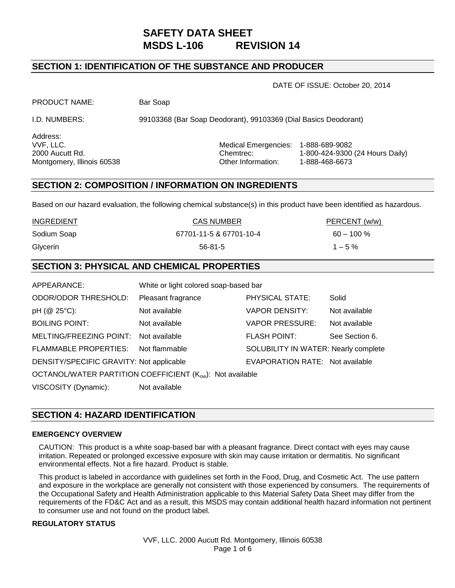# **SAFETY DATA SHEET MSDS L-106 REVISION 14**

## **SECTION 1: IDENTIFICATION OF THE SUBSTANCE AND PRODUCER**

DATE OF ISSUE: October 20, 2014

PRODUCT NAME: Bar Soap

I.D. NUMBERS: 99103368 (Bar Soap Deodorant), 99103369 (Dial Basics Deodorant)

Address:

VVF, LLC. Medical Emergencies: 1-888-689-9082 2000 Aucutt Rd. Chemtrec: 1-800-424-9300 (24 Hours Daily) Montgomery, Illinois 60538 Cher Information: 1-888-468-6673

## **SECTION 2: COMPOSITION / INFORMATION ON INGREDIENTS**

Based on our hazard evaluation, the following chemical substance(s) in this product have been identified as hazardous.

|                   | SECTION 3: PHYSICAL AND CHEMICAL PROPERTIES |               |
|-------------------|---------------------------------------------|---------------|
| Glycerin          | 56-81-5                                     | $1 - 5\%$     |
| Sodium Soap       | 67701-11-5 & 67701-10-4                     | $60 - 100 \%$ |
| <b>INGREDIENT</b> | <b>CAS NUMBER</b>                           | PERCENT (w/w) |

## **SECTION 3: PHYSICAL AND CHEMICAL PROPERTIES**

| APPEARANCE:                                              | White or light colored soap-based bar |                                      |                |  |
|----------------------------------------------------------|---------------------------------------|--------------------------------------|----------------|--|
| <b>ODOR/ODOR THRESHOLD:</b>                              | Pleasant fragrance                    | PHYSICAL STATE:                      | Solid          |  |
| pH (@ 25°C):                                             | Not available                         | <b>VAPOR DENSITY:</b>                | Not available  |  |
| <b>BOILING POINT:</b>                                    | Not available                         | <b>VAPOR PRESSURE:</b>               | Not available  |  |
| MELTING/FREEZING POINT: Not available                    |                                       | <b>FLASH POINT:</b>                  | See Section 6. |  |
| FLAMMABLE PROPERTIES: Not flammable                      |                                       | SOLUBILITY IN WATER: Nearly complete |                |  |
| DENSITY/SPECIFIC GRAVITY: Not applicable                 |                                       | EVAPORATION RATE: Not available      |                |  |
| OCTANOL/WATER PARTITION COEFFICIENT (Kow): Not available |                                       |                                      |                |  |
| VISCOSITY (Dynamic):                                     | Not available                         |                                      |                |  |

## **SECTION 4: HAZARD IDENTIFICATION**

#### **EMERGENCY OVERVIEW**

CAUTION: This product is a white soap-based bar with a pleasant fragrance. Direct contact with eyes may cause irritation. Repeated or prolonged excessive exposure with skin may cause irritation or dermatitis. No significant environmental effects. Not a fire hazard. Product is stable.

This product is labeled in accordance with guidelines set forth in the Food, Drug, and Cosmetic Act. The use pattern and exposure in the workplace are generally not consistent with those experienced by consumers. The requirements of the Occupational Safety and Health Administration applicable to this Material Safety Data Sheet may differ from the requirements of the FD&C Act and as a result, this MSDS may contain additional health hazard information not pertinent to consumer use and not found on the product label.

#### **REGULATORY STATUS**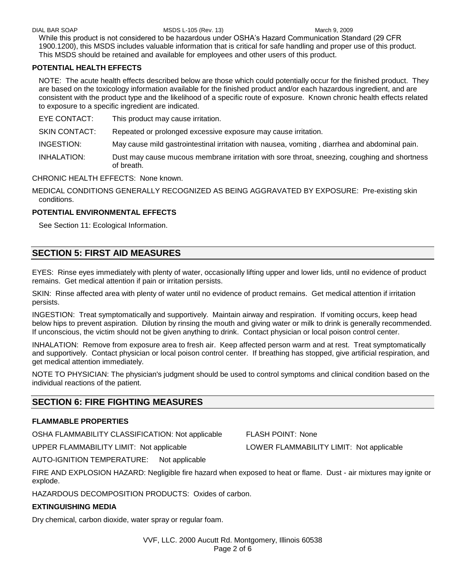DIAL BAR SOAP MSDS L-105 (Rev. 13) March 9, 2009

While this product is not considered to be hazardous under OSHA's Hazard Communication Standard (29 CFR 1900.1200), this MSDS includes valuable information that is critical for safe handling and proper use of this product. This MSDS should be retained and available for employees and other users of this product.

### **POTENTIAL HEALTH EFFECTS**

NOTE: The acute health effects described below are those which could potentially occur for the finished product. They are based on the toxicology information available for the finished product and/or each hazardous ingredient, and are consistent with the product type and the likelihood of a specific route of exposure. Known chronic health effects related to exposure to a specific ingredient are indicated.

EYE CONTACT: This product may cause irritation.

SKIN CONTACT:Repeated or prolonged excessive exposure may cause irritation.

- INGESTION:May cause mild gastrointestinal irritation with nausea, vomiting , diarrhea and abdominal pain.
- INHALATION:Dust may cause mucous membrane irritation with sore throat, sneezing, coughing and shortness of breath.

CHRONIC HEALTH EFFECTS:None known.

MEDICAL CONDITIONS GENERALLY RECOGNIZED AS BEING AGGRAVATED BY EXPOSURE:Pre-existing skin conditions.

### **POTENTIAL ENVIRONMENTAL EFFECTS**

See Section 11: Ecological Information.

## **SECTION 5: FIRST AID MEASURES**

EYES:Rinse eyes immediately with plenty of water, occasionally lifting upper and lower lids, until no evidence of product remains. Get medical attention if pain or irritation persists.

SKIN:Rinse affected area with plenty of water until no evidence of product remains. Get medical attention if irritation persists.

INGESTION:Treat symptomatically and supportively. Maintain airway and respiration. If vomiting occurs, keep head below hips to prevent aspiration. Dilution by rinsing the mouth and giving water or milk to drink is generally recommended. If unconscious, the victim should not be given anything to drink. Contact physician or local poison control center.

INHALATION: Remove from exposure area to fresh air. Keep affected person warm and at rest. Treat symptomatically and supportively. Contact physician or local poison control center. If breathing has stopped, give artificial respiration, and get medical attention immediately.

NOTE TO PHYSICIAN: The physician's judgment should be used to control symptoms and clinical condition based on the individual reactions of the patient.

## **SECTION 6: FIRE FIGHTING MEASURES**

#### **FLAMMABLE PROPERTIES**

OSHA FLAMMABILITY CLASSIFICATION: Not applicable FLASH POINT: None

UPPER FLAMMABILITY LIMIT: Not applicable LOWER FLAMMABILITY LIMIT: Not applicable

AUTO-IGNITION TEMPERATURE: Not applicable

FIRE AND EXPLOSION HAZARD: Negligible fire hazard when exposed to heat or flame. Dust - air mixtures may ignite or explode.

HAZARDOUS DECOMPOSITION PRODUCTS: Oxides of carbon.

## **EXTINGUISHING MEDIA**

Dry chemical, carbon dioxide, water spray or regular foam.

VVF, LLC. 2000 Aucutt Rd. Montgomery, Illinois 60538 Page 2 of 6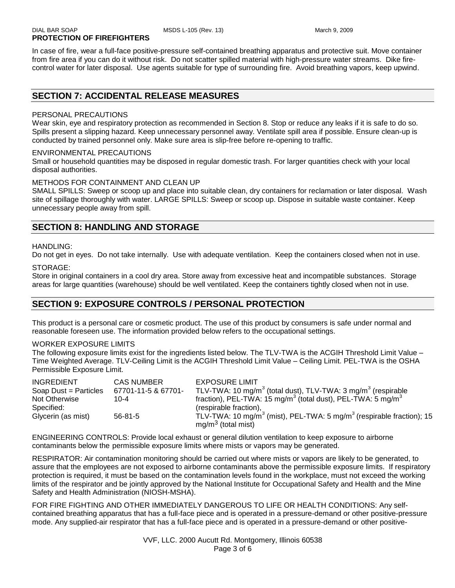In case of fire, wear a full-face positive-pressure self-contained breathing apparatus and protective suit. Move container from fire area if you can do it without risk. Do not scatter spilled material with high-pressure water streams. Dike firecontrol water for later disposal. Use agents suitable for type of surrounding fire. Avoid breathing vapors, keep upwind.

## **SECTION 7: ACCIDENTAL RELEASE MEASURES**

#### PERSONAL PRECAUTIONS

Wear skin, eye and respiratory protection as recommended in Section 8. Stop or reduce any leaks if it is safe to do so. Spills present a slipping hazard. Keep unnecessary personnel away. Ventilate spill area if possible. Ensure clean-up is conducted by trained personnel only. Make sure area is slip-free before re-opening to traffic.

#### ENVIRONMENTAL PRECAUTIONS

Small or household quantities may be disposed in regular domestic trash. For larger quantities check with your local disposal authorities.

#### METHODS FOR CONTAINMENT AND CLEAN UP

SMALL SPILLS: Sweep or scoop up and place into suitable clean, dry containers for reclamation or later disposal. Wash site of spillage thoroughly with water. LARGE SPILLS: Sweep or scoop up. Dispose in suitable waste container. Keep unnecessary people away from spill.

## **SECTION 8: HANDLING AND STORAGE**

#### HANDLING:

Do not get in eyes. Do not take internally. Use with adequate ventilation. Keep the containers closed when not in use.

#### STORAGE:

Store in original containers in a cool dry area. Store away from excessive heat and incompatible substances. Storage areas for large quantities (warehouse) should be well ventilated. Keep the containers tightly closed when not in use.

## **SECTION 9: EXPOSURE CONTROLS / PERSONAL PROTECTION**

This product is a personal care or cosmetic product. The use of this product by consumers is safe under normal and reasonable foreseen use. The information provided below refers to the occupational settings.

#### WORKER EXPOSURE LIMITS

The following exposure limits exist for the ingredients listed below. The TLV-TWA is the ACGIH Threshold Limit Value – Time Weighted Average. TLV-Ceiling Limit is the ACGIH Threshold Limit Value – Ceiling Limit. PEL-TWA is the OSHA Permissible Exposure Limit.

| <b>INGREDIENT</b>     | <b>CAS NUMBER</b>   | <b>EXPOSURE LIMIT</b>                                                                        |
|-----------------------|---------------------|----------------------------------------------------------------------------------------------|
| Soap Dust = Particles | 67701-11-5 & 67701- | TLV-TWA: 10 mg/m <sup>3</sup> (total dust), TLV-TWA: 3 mg/m <sup>3</sup> (respirable         |
| Not Otherwise         | $10 - 4$            | fraction), PEL-TWA: 15 mg/m <sup>3</sup> (total dust), PEL-TWA: 5 mg/m <sup>3</sup>          |
| Specified:            |                     | (respirable fraction),                                                                       |
| Glycerin (as mist)    | $56 - 81 - 5$       | TLV-TWA: 10 mg/m <sup>3</sup> (mist), PEL-TWA: 5 mg/m <sup>3</sup> (respirable fraction); 15 |
|                       |                     | $mg/m3$ (total mist)                                                                         |

ENGINEERING CONTROLS: Provide local exhaust or general dilution ventilation to keep exposure to airborne contaminants below the permissible exposure limits where mists or vapors may be generated.

RESPIRATOR: Air contamination monitoring should be carried out where mists or vapors are likely to be generated, to assure that the employees are not exposed to airborne contaminants above the permissible exposure limits. If respiratory protection is required, it must be based on the contamination levels found in the workplace, must not exceed the working limits of the respirator and be jointly approved by the National Institute for Occupational Safety and Health and the Mine Safety and Health Administration (NIOSH-MSHA).

FOR FIRE FIGHTING AND OTHER IMMEDIATELY DANGEROUS TO LIFE OR HEALTH CONDITIONS: Any selfcontained breathing apparatus that has a full-face piece and is operated in a pressure-demand or other positive-pressure mode. Any supplied-air respirator that has a full-face piece and is operated in a pressure-demand or other positive-

> VVF, LLC. 2000 Aucutt Rd. Montgomery, Illinois 60538 Page 3 of 6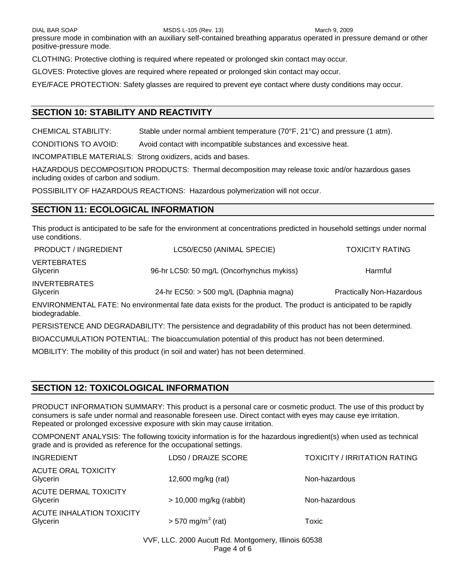DIAL BAR SOAP MSDS L-105 (Rev. 13) MARCH 9, 2009

pressure mode in combination with an auxiliary self-contained breathing apparatus operated in pressure demand or other positive-pressure mode.

CLOTHING: Protective clothing is required where repeated or prolonged skin contact may occur.

GLOVES: Protective gloves are required where repeated or prolonged skin contact may occur.

EYE/FACE PROTECTION: Safety glasses are required to prevent eye contact where dusty conditions may occur.

## **SECTION 10: STABILITY AND REACTIVITY**

CHEMICAL STABILITY: Stable under normal ambient temperature (70°F, 21°C) and pressure (1 atm).

CONDITIONS TO AVOID: Avoid contact with incompatible substances and excessive heat.

INCOMPATIBLE MATERIALS: Strong oxidizers, acids and bases.

HAZARDOUS DECOMPOSITION PRODUCTS: Thermal decomposition may release toxic and/or hazardous gases including oxides of carbon and sodium.

POSSIBILITY OF HAZARDOUS REACTIONS: Hazardous polymerization will not occur.

## **SECTION 11: ECOLOGICAL INFORMATION**

This product is anticipated to be safe for the environment at concentrations predicted in household settings under normal use conditions.

| <b>PRODUCT / INGREDIENT</b>      | LC50/EC50 (ANIMAL SPECIE)                                                                                       | <b>TOXICITY RATING</b>           |
|----------------------------------|-----------------------------------------------------------------------------------------------------------------|----------------------------------|
| <b>VERTEBRATES</b><br>Glycerin   | 96-hr LC50: 50 mg/L (Oncorhynchus mykiss)                                                                       | Harmful                          |
| <b>INVERTEBRATES</b><br>Glycerin | 24-hr EC50: > 500 mg/L (Daphnia magna)                                                                          | <b>Practically Non-Hazardous</b> |
|                                  | ENVIRONMENTAL FATE: No environmental fate data exists for the product. The product is anticipated to be rapidly |                                  |

ENVIRONMENTAL FATE: No environmental fate data exists for the product. The product is anticipated to be rapidly biodegradable.

PERSISTENCE AND DEGRADABILITY: The persistence and degradability of this product has not been determined.

BIOACCUMULATION POTENTIAL: The bioaccumulation potential of this product has not been determined.

MOBILITY: The mobility of this product (in soil and water) has not been determined.

## **SECTION 12: TOXICOLOGICAL INFORMATION**

PRODUCT INFORMATION SUMMARY: This product is a personal care or cosmetic product. The use of this product by consumers is safe under normal and reasonable foreseen use. Direct contact with eyes may cause eye irritation. Repeated or prolonged excessive exposure with skin may cause irritation.

COMPONENT ANALYSIS: The following toxicity information is for the hazardous ingredient(s) when used as technical grade and is provided as reference for the occupational settings.

| <b>INGREDIENT</b>                            | LD50 / DRAIZE SCORE             | <b>TOXICITY / IRRITATION RATING</b> |
|----------------------------------------------|---------------------------------|-------------------------------------|
| ACUTE ORAL TOXICITY<br>Glycerin              | 12,600 mg/kg (rat)              | Non-hazardous                       |
| <b>ACUTE DERMAL TOXICITY</b><br>Glycerin     | $> 10,000$ mg/kg (rabbit)       | Non-hazardous                       |
| <b>ACUTE INHALATION TOXICITY</b><br>Glycerin | $> 570$ mg/m <sup>3</sup> (rat) | Toxic                               |

VVF, LLC. 2000 Aucutt Rd. Montgomery, Illinois 60538 Page 4 of 6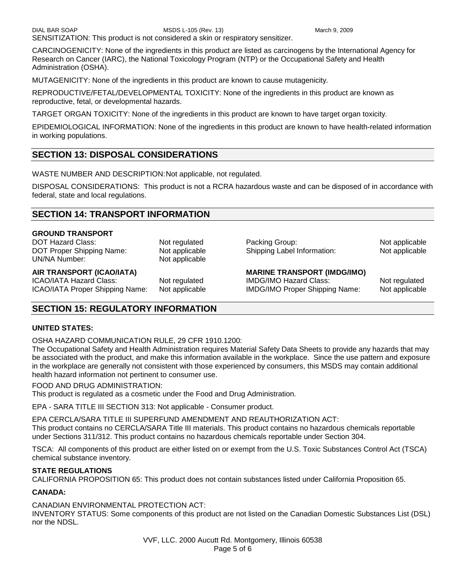CARCINOGENICITY: None of the ingredients in this product are listed as carcinogens by the International Agency for Research on Cancer (IARC), the National Toxicology Program (NTP) or the Occupational Safety and Health Administration (OSHA).

MUTAGENICITY: None of the ingredients in this product are known to cause mutagenicity.

REPRODUCTIVE/FETAL/DEVELOPMENTAL TOXICITY: None of the ingredients in this product are known as reproductive, fetal, or developmental hazards.

TARGET ORGAN TOXICITY: None of the ingredients in this product are known to have target organ toxicity.

EPIDEMIOLOGICAL INFORMATION: None of the ingredients in this product are known to have health-related information in working populations.

## **SECTION 13: DISPOSAL CONSIDERATIONS**

WASTE NUMBER AND DESCRIPTION:Not applicable, not regulated.

DISPOSAL CONSIDERATIONS: This product is not a RCRA hazardous waste and can be disposed of in accordance with federal, state and local regulations.

## **SECTION 14: TRANSPORT INFORMATION**

#### **GROUND TRANSPORT**

DOT Hazard Class: Not regulated Packing Group: Not applicable Packing Group: DOT Proper Shipping Name: Not applicable Shipping Label Information: Not applicable UN/NA Number: Not applicable

#### **AIR TRANSPORT (ICAO/IATA) MARINE TRANSPORT (IMDG/IMO)**

ICAO/IATA Hazard Class: Not regulated IMDG/IMO Hazard Class: Not regulated

ICAO/IATA Proper Shipping Name: Not applicable IMDG/IMO Proper Shipping Name: Not applicable

## **SECTION 15: REGULATORY INFORMATION**

#### **UNITED STATES:**

OSHA HAZARD COMMUNICATION RULE, 29 CFR 1910.1200:

The Occupational Safety and Health Administration requires Material Safety Data Sheets to provide any hazards that may be associated with the product, and make this information available in the workplace. Since the use pattern and exposure in the workplace are generally not consistent with those experienced by consumers, this MSDS may contain additional health hazard information not pertinent to consumer use.

FOOD AND DRUG ADMINISTRATION:

This product is regulated as a cosmetic under the Food and Drug Administration.

EPA - SARA TITLE III SECTION 313: Not applicable - Consumer product.

EPA CERCLA/SARA TITLE III SUPERFUND AMENDMENT AND REAUTHORIZATION ACT:

This product contains no CERCLA/SARA Title III materials. This product contains no hazardous chemicals reportable under Sections 311/312. This product contains no hazardous chemicals reportable under Section 304.

TSCA: All components of this product are either listed on or exempt from the U.S. Toxic Substances Control Act (TSCA) chemical substance inventory.

#### **STATE REGULATIONS**

CALIFORNIA PROPOSITION 65: This product does not contain substances listed under California Proposition 65.

#### **CANADA:**

CANADIAN ENVIRONMENTAL PROTECTION ACT:

INVENTORY STATUS: Some components of this product are not listed on the Canadian Domestic Substances List (DSL) nor the NDSL.

> VVF, LLC. 2000 Aucutt Rd. Montgomery, Illinois 60538 Page 5 of 6